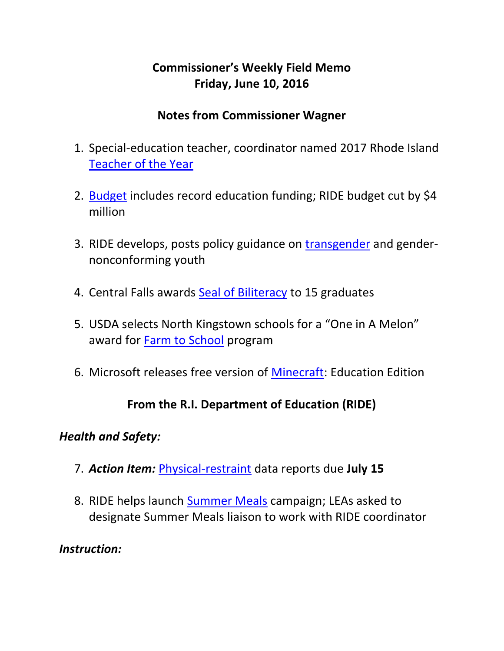## **Commissioner's Weekly Field Memo Friday, June 10, 2016**

### **Notes from Commissioner Wagner**

- 1. Special-education teacher, coordinator named 2017 Rhode Island [Teacher of the Year](#page-3-0)
- 2. [Budget](#page-4-0) includes record education funding; RIDE budget cut by \$4 million
- 3. RIDE develops, posts policy guidance on [transgender](#page-5-0) and gendernonconforming youth
- 4. Central Falls awards [Seal of Biliteracy](#page-6-0) to 15 graduates
- 5. USDA selects North Kingstown schools for a "One in A Melon" award for [Farm to School](#page-6-1) program
- 6. Microsoft releases free version of [Minecraft:](#page-7-0) Education Edition

### **From the R.I. Department of Education (RIDE)**

#### *Health and Safety:*

- 7. *Action Item:* [Physical-restraint](#page-7-1) data reports due **July 15**
- 8. RIDE helps launch [Summer Meals](#page-8-0) campaign; LEAs asked to designate Summer Meals liaison to work with RIDE coordinator

#### *Instruction:*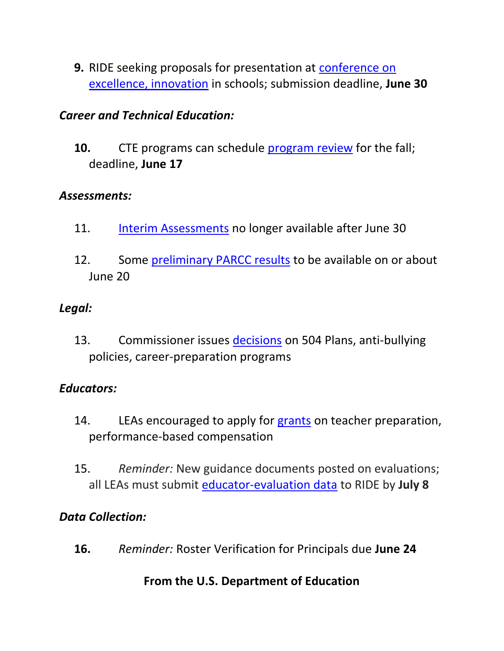**9.** RIDE seeking proposals for presentation at [conference on](#page-10-0)  [excellence, innovation](#page-10-0) in schools; submission deadline, **June 30**

### *Career and Technical Education:*

**10.** CTE programs can schedule [program review](#page-11-0) for the fall; deadline, **June 17**

### *Assessments:*

- 11. [Interim Assessments](#page-11-1) no longer available after June 30
- 12. Some [preliminary PARCC results](#page-12-0) to be available on or about June 20

### *Legal:*

13. Commissioner issues [decisions](#page-12-1) on 504 Plans, anti-bullying policies, career-preparation programs

### *Educators:*

- 14. LEAs encouraged to apply for grants on teacher preparation, performance-based compensation
- 15. *Reminder:* New guidance documents posted on evaluations; all LEAs must submit [educator-evaluation data](#page-15-0) to RIDE by **July 8**

### *Data Collection:*

**16.** *Reminder:* Roster Verification for Principals due **June 24**

### **From the U.S. Department of Education**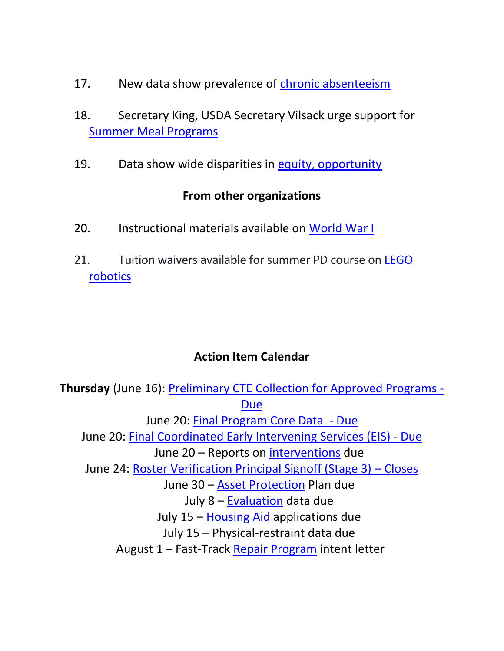- 17. New data show prevalence of [chronic absenteeism](#page-16-0)
- 18. Secretary King, USDA Secretary Vilsack urge support for [Summer Meal Programs](#page-17-0)
- 19. Data show wide disparities in [equity, opportunity](#page-20-0)

#### **From other organizations**

- 20. Instructional materials available on [World War I](#page-21-0)
- 21. Tuition waivers available for summer PD course on LEGO [robotics](#page-21-0)

### **Action Item Calendar**

**Thursday** (June 16): [Preliminary CTE Collection for Approved Programs -](https://www.eride.ri.gov/eRide40/DataDictionary/ViewDetails.aspx?ID=306) [Due](https://www.eride.ri.gov/eRide40/DataDictionary/ViewDetails.aspx?ID=306) June 20: [Final Program Core Data](https://www.eride.ri.gov/eRide40/DataDictionary/ViewDetails.aspx?ID=284) - Due June 20: [Final Coordinated Early Intervening Services \(EIS\) -](https://www.eride.ri.gov/eRide40/DataDictionary/ViewDetails.aspx?ID=283) Due June 20 – Reports on [interventions](http://ride.ri.gov/Portals/0/Uploads/Documents/FieldMemos/031816-FM.pdf) due June 24: [Roster Verification Principal Signoff \(Stage 3\)](http://www.ride.ri.gov/TeachersAdministrators/EducatorEvaluation/EducatorPerformanceandSupportSystem(EPSS).aspx) – Closes June 30 – [Asset Protection](http://ride.ri.gov/Portals/0/Uploads/Documents/FieldMemos/052016-FM.pdf) Plan due July 8 – [Evaluation](http://ride.ri.gov/Portals/0/Uploads/Documents/FieldMemos/042916-FM.pdf) data due July 15 – [Housing Aid](http://ride.ri.gov/Portals/0/Uploads/Documents/FieldMemos/052016-FM.pdf) applications due July 15 – Physical-restraint data due August 1 **–** Fast-Track [Repair Program](http://ride.ri.gov/Portals/0/Uploads/Documents/FieldMemos/052016-FM.pdf) intent letter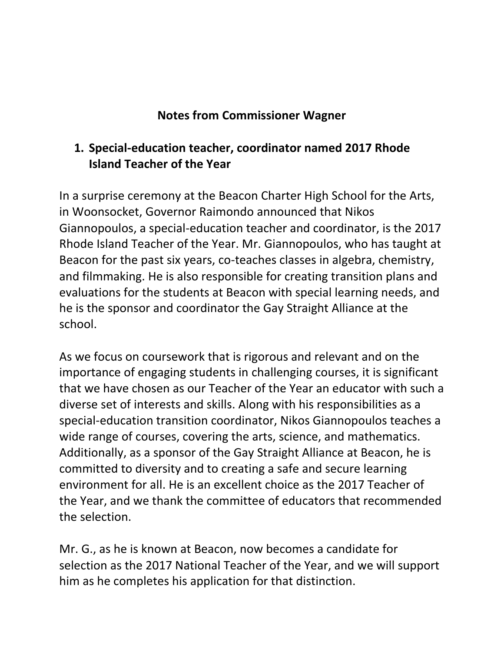### **Notes from Commissioner Wagner**

### <span id="page-3-0"></span>**1. Special-education teacher, coordinator named 2017 Rhode Island Teacher of the Year**

In a surprise ceremony at the Beacon Charter High School for the Arts, in Woonsocket, Governor Raimondo announced that Nikos Giannopoulos, a special-education teacher and coordinator, is the 2017 Rhode Island Teacher of the Year. Mr. Giannopoulos, who has taught at Beacon for the past six years, co-teaches classes in algebra, chemistry, and filmmaking. He is also responsible for creating transition plans and evaluations for the students at Beacon with special learning needs, and he is the sponsor and coordinator the Gay Straight Alliance at the school.

As we focus on coursework that is rigorous and relevant and on the importance of engaging students in challenging courses, it is significant that we have chosen as our Teacher of the Year an educator with such a diverse set of interests and skills. Along with his responsibilities as a special-education transition coordinator, Nikos Giannopoulos teaches a wide range of courses, covering the arts, science, and mathematics. Additionally, as a sponsor of the Gay Straight Alliance at Beacon, he is committed to diversity and to creating a safe and secure learning environment for all. He is an excellent choice as the 2017 Teacher of the Year, and we thank the committee of educators that recommended the selection.

Mr. G., as he is known at Beacon, now becomes a candidate for selection as the 2017 National Teacher of the Year, and we will support him as he completes his application for that distinction.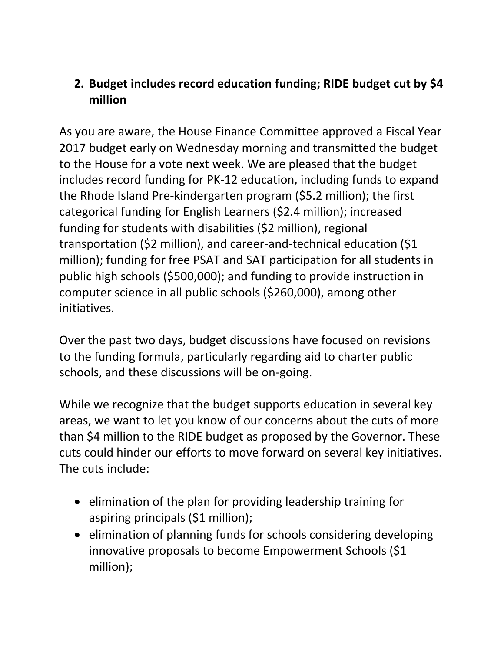## <span id="page-4-0"></span>**2. Budget includes record education funding; RIDE budget cut by \$4 million**

As you are aware, the House Finance Committee approved a Fiscal Year 2017 budget early on Wednesday morning and transmitted the budget to the House for a vote next week. We are pleased that the budget includes record funding for PK-12 education, including funds to expand the Rhode Island Pre-kindergarten program (\$5.2 million); the first categorical funding for English Learners (\$2.4 million); increased funding for students with disabilities (\$2 million), regional transportation (\$2 million), and career-and-technical education (\$1 million); funding for free PSAT and SAT participation for all students in public high schools (\$500,000); and funding to provide instruction in computer science in all public schools (\$260,000), among other initiatives.

Over the past two days, budget discussions have focused on revisions to the funding formula, particularly regarding aid to charter public schools, and these discussions will be on-going.

While we recognize that the budget supports education in several key areas, we want to let you know of our concerns about the cuts of more than \$4 million to the RIDE budget as proposed by the Governor. These cuts could hinder our efforts to move forward on several key initiatives. The cuts include:

- elimination of the plan for providing leadership training for aspiring principals (\$1 million);
- elimination of planning funds for schools considering developing innovative proposals to become Empowerment Schools (\$1 million);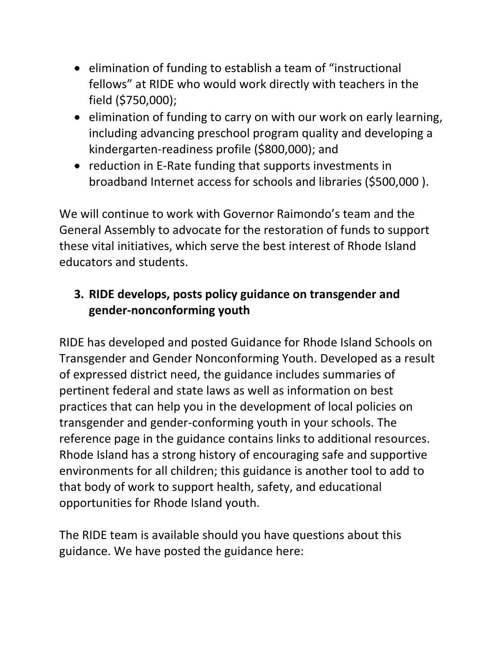- elimination of funding to establish a team of "instructional fellows" at RIDE who would work directly with teachers in the field (\$750,000);
- elimination of funding to carry on with our work on early learning, including advancing preschool program quality and developing a kindergarten-readiness profile (\$800,000); and
- reduction in E-Rate funding that supports investments in broadband Internet access for schools and libraries (\$500,000 ).

We will continue to work with Governor Raimondo's team and the General Assembly to advocate for the restoration of funds to support these vital initiatives, which serve the best interest of Rhode Island educators and students.

## <span id="page-5-0"></span>**3. RIDE develops, posts policy guidance on transgender and gender-nonconforming youth**

RIDE has developed and posted Guidance for Rhode Island Schools on Transgender and Gender Nonconforming Youth. Developed as a result of expressed district need, the guidance includes summaries of pertinent federal and state laws as well as information on best practices that can help you in the development of local policies on transgender and gender-conforming youth in your schools. The reference page in the guidance contains links to additional resources. Rhode Island has a strong history of encouraging safe and supportive environments for all children; this guidance is another tool to add to that body of work to support health, safety, and educational opportunities for Rhode Island youth.

The RIDE team is available should you have questions about this guidance. We have posted the guidance here: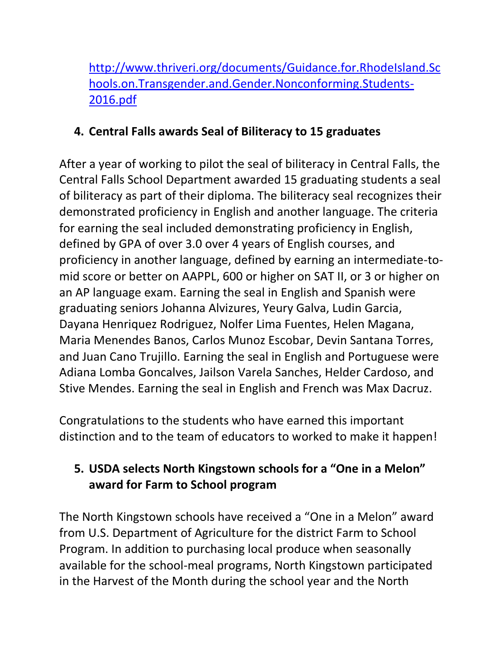[http://www.thriveri.org/documents/Guidance.for.RhodeIsland.Sc](http://www.thriveri.org/documents/Guidance.for.RhodeIsland.Schools.on.Transgender.and.Gender.Nonconforming.Students-2016.pdf) [hools.on.Transgender.and.Gender.Nonconforming.Students-](http://www.thriveri.org/documents/Guidance.for.RhodeIsland.Schools.on.Transgender.and.Gender.Nonconforming.Students-2016.pdf)[2016.pdf](http://www.thriveri.org/documents/Guidance.for.RhodeIsland.Schools.on.Transgender.and.Gender.Nonconforming.Students-2016.pdf)

## <span id="page-6-0"></span>**4. Central Falls awards Seal of Biliteracy to 15 graduates**

After a year of working to pilot the seal of biliteracy in Central Falls, the Central Falls School Department awarded 15 graduating students a seal of biliteracy as part of their diploma. The biliteracy seal recognizes their demonstrated proficiency in English and another language. The criteria for earning the seal included demonstrating proficiency in English, defined by GPA of over 3.0 over 4 years of English courses, and proficiency in another language, defined by earning an intermediate-tomid score or better on AAPPL, 600 or higher on SAT II, or 3 or higher on an AP language exam. Earning the seal in English and Spanish were graduating seniors Johanna Alvizures, Yeury Galva, Ludin Garcia, Dayana Henriquez Rodriguez, Nolfer Lima Fuentes, Helen Magana, Maria Menendes Banos, Carlos Munoz Escobar, Devin Santana Torres, and Juan Cano Trujillo. Earning the seal in English and Portuguese were Adiana Lomba Goncalves, Jailson Varela Sanches, Helder Cardoso, and Stive Mendes. Earning the seal in English and French was Max Dacruz.

Congratulations to the students who have earned this important distinction and to the team of educators to worked to make it happen!

## <span id="page-6-1"></span>**5. USDA selects North Kingstown schools for a "One in a Melon" award for Farm to School program**

The North Kingstown schools have received a "One in a Melon" award from U.S. Department of Agriculture for the district Farm to School Program. In addition to purchasing local produce when seasonally available for the school-meal programs, North Kingstown participated in the Harvest of the Month during the school year and the North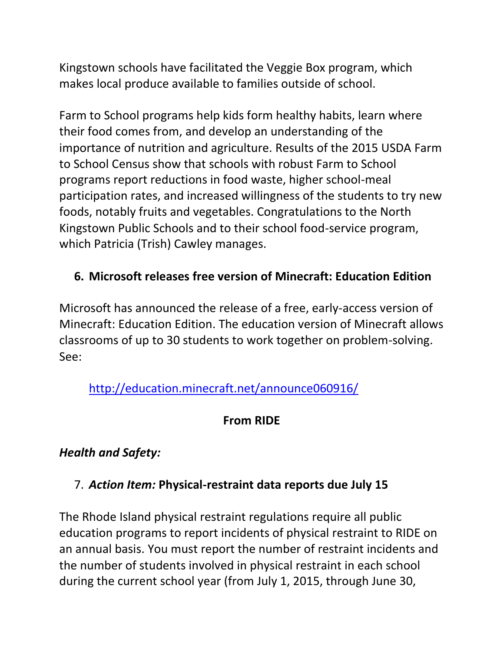Kingstown schools have facilitated the Veggie Box program, which makes local produce available to families outside of school.

Farm to School programs help kids form healthy habits, learn where their food comes from, and develop an understanding of the importance of nutrition and agriculture. Results of the 2015 USDA Farm to School Census show that schools with robust Farm to School programs report reductions in food waste, higher school-meal participation rates, and increased willingness of the students to try new foods, notably fruits and vegetables. Congratulations to the North Kingstown Public Schools and to their school food-service program, which Patricia (Trish) Cawley manages.

## <span id="page-7-0"></span>**6. Microsoft releases free version of Minecraft: Education Edition**

Microsoft has announced the release of a free, early-access version of Minecraft: Education Edition. The education version of Minecraft allows classrooms of up to 30 students to work together on problem-solving. See:

<http://education.minecraft.net/announce060916/>

### **From RIDE**

### *Health and Safety:*

### <span id="page-7-1"></span>7. *Action Item:* **Physical-restraint data reports due July 15**

The Rhode Island physical restraint regulations require all public education programs to report incidents of physical restraint to RIDE on an annual basis. You must report the number of restraint incidents and the number of students involved in physical restraint in each school during the current school year (from July 1, 2015, through June 30,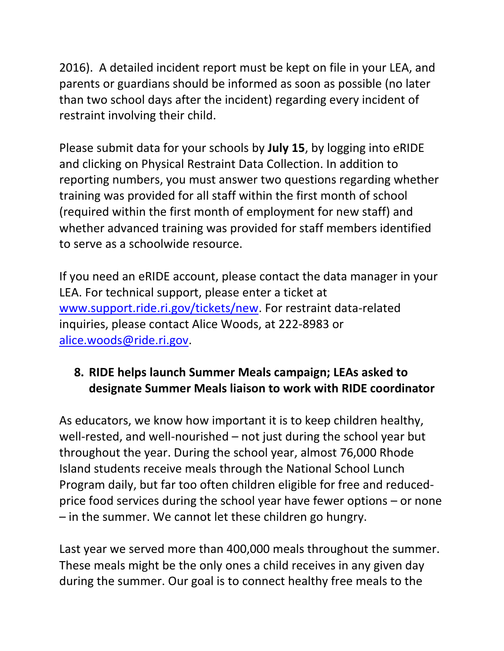2016). A detailed incident report must be kept on file in your LEA, and parents or guardians should be informed as soon as possible (no later than two school days after the incident) regarding every incident of restraint involving their child.

Please submit data for your schools by **July 15**, by logging into eRIDE and clicking on Physical Restraint Data Collection. In addition to reporting numbers, you must answer two questions regarding whether training was provided for all staff within the first month of school (required within the first month of employment for new staff) and whether advanced training was provided for staff members identified to serve as a schoolwide resource.

If you need an eRIDE account, please contact the data manager in your LEA. For technical support, please enter a ticket at [www.support.ride.ri.gov/tickets/new.](http://www.support.ride.ri.gov/tickets/new) For restraint data-related inquiries, please contact Alice Woods, at 222-8983 or [alice.woods@ride.ri.gov.](mailto:alice.woods@ride.ri.gov)

### <span id="page-8-0"></span>**8. RIDE helps launch Summer Meals campaign; LEAs asked to designate Summer Meals liaison to work with RIDE coordinator**

As educators, we know how important it is to keep children healthy, well-rested, and well-nourished – not just during the school year but throughout the year. During the school year, almost 76,000 Rhode Island students receive meals through the National School Lunch Program daily, but far too often children eligible for free and reducedprice food services during the school year have fewer options – or none – in the summer. We cannot let these children go hungry.

Last year we served more than 400,000 meals throughout the summer. These meals might be the only ones a child receives in any given day during the summer. Our goal is to connect healthy free meals to the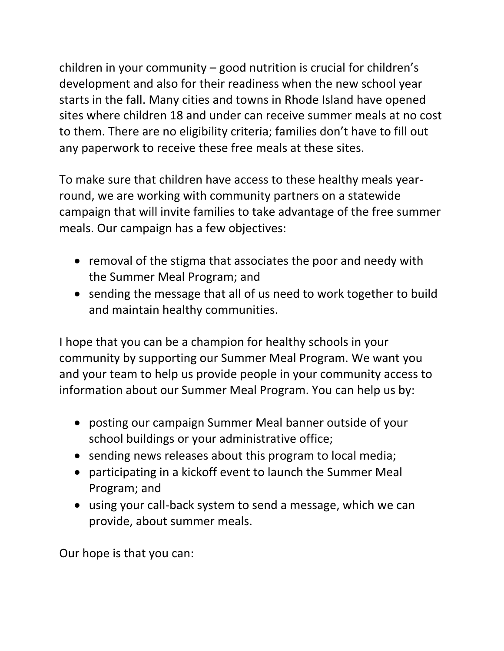children in your community – good nutrition is crucial for children's development and also for their readiness when the new school year starts in the fall. Many cities and towns in Rhode Island have opened sites where children 18 and under can receive summer meals at no cost to them. There are no eligibility criteria; families don't have to fill out any paperwork to receive these free meals at these sites.

To make sure that children have access to these healthy meals yearround, we are working with community partners on a statewide campaign that will invite families to take advantage of the free summer meals. Our campaign has a few objectives:

- removal of the stigma that associates the poor and needy with the Summer Meal Program; and
- sending the message that all of us need to work together to build and maintain healthy communities.

I hope that you can be a champion for healthy schools in your community by supporting our Summer Meal Program. We want you and your team to help us provide people in your community access to information about our Summer Meal Program. You can help us by:

- posting our campaign Summer Meal banner outside of your school buildings or your administrative office;
- sending news releases about this program to local media;
- participating in a kickoff event to launch the Summer Meal Program; and
- using your call-back system to send a message, which we can provide, about summer meals.

Our hope is that you can: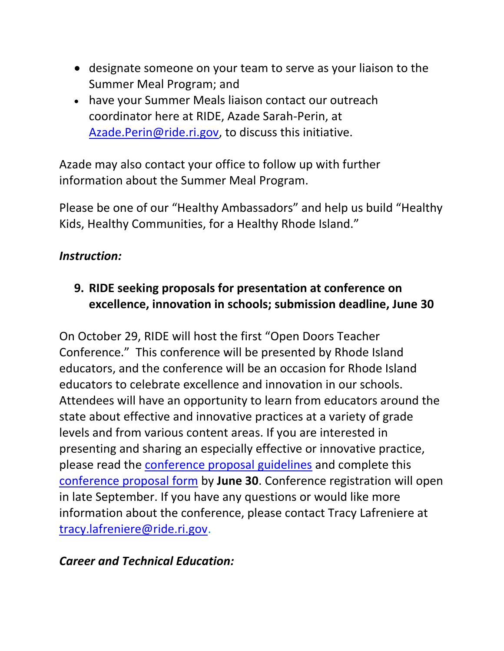- designate someone on your team to serve as your liaison to the Summer Meal Program; and
- have your Summer Meals liaison contact our outreach coordinator here at RIDE, Azade Sarah-Perin, at [Azade.Perin@ride.ri.gov,](mailto:Azade.Perin@ride.ri.gov) to discuss this initiative.

Azade may also contact your office to follow up with further information about the Summer Meal Program.

Please be one of our "Healthy Ambassadors" and help us build "Healthy Kids, Healthy Communities, for a Healthy Rhode Island."

### *Instruction:*

## <span id="page-10-0"></span>**9. RIDE seeking proposals for presentation at conference on excellence, innovation in schools; submission deadline, June 30**

On October 29, RIDE will host the first "Open Doors Teacher Conference." This conference will be presented by Rhode Island educators, and the conference will be an occasion for Rhode Island educators to celebrate excellence and innovation in our schools. Attendees will have an opportunity to learn from educators around the state about effective and innovative practices at a variety of grade levels and from various content areas. If you are interested in presenting and sharing an especially effective or innovative practice, please read the [conference proposal guidelines](https://docs.google.com/drawings/d/1uQSLUcJj-GfCrwLpo7tpQwggN7no3qbv-yKc_efqTxc/edit?usp=sharing) and complete this [conference proposal form](https://docs.google.com/forms/d/1KOTt7QbLOu1lSVHkiV1ewSgRobCoOy0HMguf1YtKAJE/viewform) by **June 30**. Conference registration will open in late September. If you have any questions or would like more information about the conference, please contact Tracy Lafreniere at [tracy.lafreniere@ride.ri.gov.](mailto:tracy.lafreniere@ride.ri.gov)

### *Career and Technical Education:*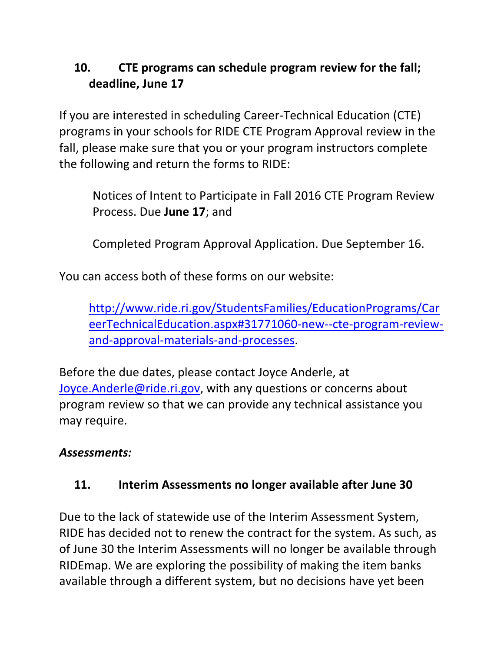## <span id="page-11-0"></span>**10. CTE programs can schedule program review for the fall; deadline, June 17**

If you are interested in scheduling Career-Technical Education (CTE) programs in your schools for RIDE CTE Program Approval review in the fall, please make sure that you or your program instructors complete the following and return the forms to RIDE:

Notices of Intent to Participate in Fall 2016 CTE Program Review Process. Due **June 17**; and

Completed Program Approval Application. Due September 16.

You can access both of these forms on our website:

[http://www.ride.ri.gov/StudentsFamilies/EducationPrograms/Car](http://www.ride.ri.gov/StudentsFamilies/EducationPrograms/CareerTechnicalEducation.aspx#31771060-new--cte-program-review-and-approval-materials-and-processes) [eerTechnicalEducation.aspx#31771060-new--cte-program-review](http://www.ride.ri.gov/StudentsFamilies/EducationPrograms/CareerTechnicalEducation.aspx#31771060-new--cte-program-review-and-approval-materials-and-processes)[and-approval-materials-and-processes.](http://www.ride.ri.gov/StudentsFamilies/EducationPrograms/CareerTechnicalEducation.aspx#31771060-new--cte-program-review-and-approval-materials-and-processes)

Before the due dates, please contact Joyce Anderle, at [Joyce.Anderle@ride.ri.gov,](mailto:Joyce.Anderle@ride.ri.gov) with any questions or concerns about program review so that we can provide any technical assistance you may require.

### *Assessments:*

### <span id="page-11-1"></span>**11. Interim Assessments no longer available after June 30**

Due to the lack of statewide use of the Interim Assessment System, RIDE has decided not to renew the contract for the system. As such, as of June 30 the Interim Assessments will no longer be available through RIDEmap. We are exploring the possibility of making the item banks available through a different system, but no decisions have yet been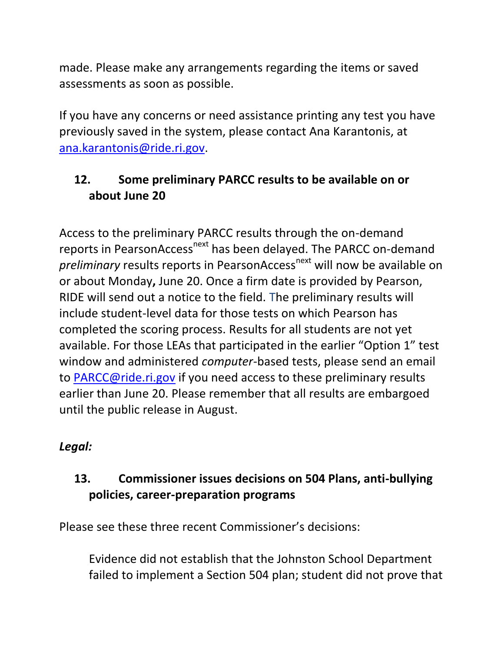made. Please make any arrangements regarding the items or saved assessments as soon as possible.

If you have any concerns or need assistance printing any test you have previously saved in the system, please contact Ana Karantonis, at [ana.karantonis@ride.ri.gov.](mailto:ana.karantonis@ride.ri.gov)

## <span id="page-12-0"></span>**12. Some preliminary PARCC results to be available on or about June 20**

Access to the preliminary PARCC results through the on-demand reports in PearsonAccess<sup>next</sup> has been delayed. The PARCC on-demand *preliminary* results reports in PearsonAccess<sup>next</sup> will now be available on or about Monday**,** June 20. Once a firm date is provided by Pearson, RIDE will send out a notice to the field. The preliminary results will include student-level data for those tests on which Pearson has completed the scoring process. Results for all students are not yet available. For those LEAs that participated in the earlier "Option 1" test window and administered *computer*-based tests, please send an email to [PARCC@ride.ri.gov](mailto:PARCC@ride.ri.gov) if you need access to these preliminary results earlier than June 20. Please remember that all results are embargoed until the public release in August.

### *Legal:*

## <span id="page-12-1"></span>**13. Commissioner issues decisions on 504 Plans, anti-bullying policies, career-preparation programs**

Please see these three recent Commissioner's decisions:

Evidence did not establish that the Johnston School Department failed to implement a Section 504 plan; student did not prove that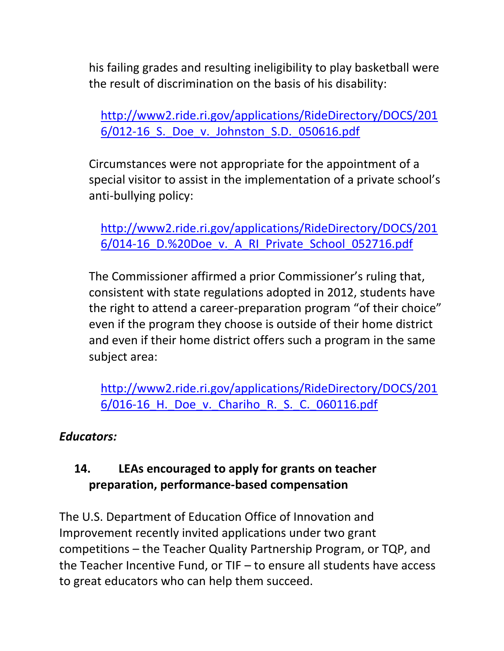his failing grades and resulting ineligibility to play basketball were the result of discrimination on the basis of his disability:

[http://www2.ride.ri.gov/applications/RideDirectory/DOCS/201](http://www2.ride.ri.gov/applications/RideDirectory/DOCS/2016/012-16_S._Doe_v._Johnston_S.D._050616.pdf) [6/012-16\\_S.\\_Doe\\_v.\\_Johnston\\_S.D.\\_050616.pdf](http://www2.ride.ri.gov/applications/RideDirectory/DOCS/2016/012-16_S._Doe_v._Johnston_S.D._050616.pdf)

Circumstances were not appropriate for the appointment of a special visitor to assist in the implementation of a private school's anti-bullying policy:

[http://www2.ride.ri.gov/applications/RideDirectory/DOCS/201](http://www2.ride.ri.gov/applications/RideDirectory/DOCS/2016/014-16_D.%20Doe_v._A_RI_Private_School_052716.pdf) [6/014-16\\_D.%20Doe\\_v.\\_A\\_RI\\_Private\\_School\\_052716.pdf](http://www2.ride.ri.gov/applications/RideDirectory/DOCS/2016/014-16_D.%20Doe_v._A_RI_Private_School_052716.pdf)

The Commissioner affirmed a prior Commissioner's ruling that, consistent with state regulations adopted in 2012, students have the right to attend a career-preparation program "of their choice" even if the program they choose is outside of their home district and even if their home district offers such a program in the same subject area:

[http://www2.ride.ri.gov/applications/RideDirectory/DOCS/201](http://www2.ride.ri.gov/applications/RideDirectory/DOCS/2016/016-16_H._Doe_v._Chariho_R._S._C._060116.pdf) 6/016-16 H. Doe v. Chariho R. S. C. 060116.pdf

### *Educators:*

## **14. LEAs encouraged to apply for grants on teacher preparation, performance-based compensation**

The U.S. Department of Education Office of Innovation and Improvement recently invited applications under two grant competitions – the Teacher Quality Partnership Program, or TQP, and the Teacher Incentive Fund, or TIF – to ensure all students have access to great educators who can help them succeed.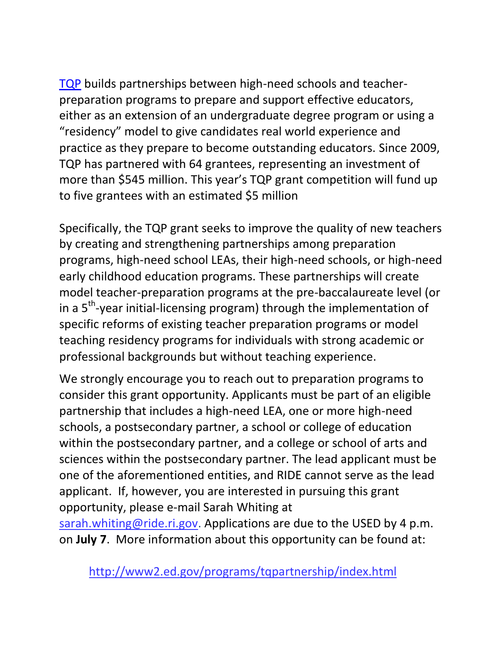[TQP](http://innovation.ed.gov/what-we-do/teacher-quality/teacher-quality-partnership/) builds partnerships between high-need schools and teacherpreparation programs to prepare and support effective educators, either as an extension of an undergraduate degree program or using a "residency" model to give candidates real world experience and practice as they prepare to become outstanding educators. Since 2009, TQP has partnered with 64 grantees, representing an investment of more than \$545 million. This year's TQP grant competition will fund up to five grantees with an estimated \$5 million

Specifically, the TQP grant seeks to improve the quality of new teachers by creating and strengthening partnerships among preparation programs, high-need school LEAs, their high-need schools, or high-need early childhood education programs. These partnerships will create model teacher-preparation programs at the pre-baccalaureate level (or in a 5<sup>th</sup>-year initial-licensing program) through the implementation of specific reforms of existing teacher preparation programs or model teaching residency programs for individuals with strong academic or professional backgrounds but without teaching experience.

We strongly encourage you to reach out to preparation programs to consider this grant opportunity. Applicants must be part of an eligible partnership that includes a high-need LEA, one or more high-need schools, a postsecondary partner, a school or college of education within the postsecondary partner, and a college or school of arts and sciences within the postsecondary partner. The lead applicant must be one of the aforementioned entities, and RIDE cannot serve as the lead applicant. If, however, you are interested in pursuing this grant opportunity, please e-mail Sarah Whiting at

[sarah.whiting@ride.ri.gov.](mailto:sarah.whiting@ride.ri.gov) Applications are due to the USED by 4 p.m. on **July 7**. More information about this opportunity can be found at:

<http://www2.ed.gov/programs/tqpartnership/index.html>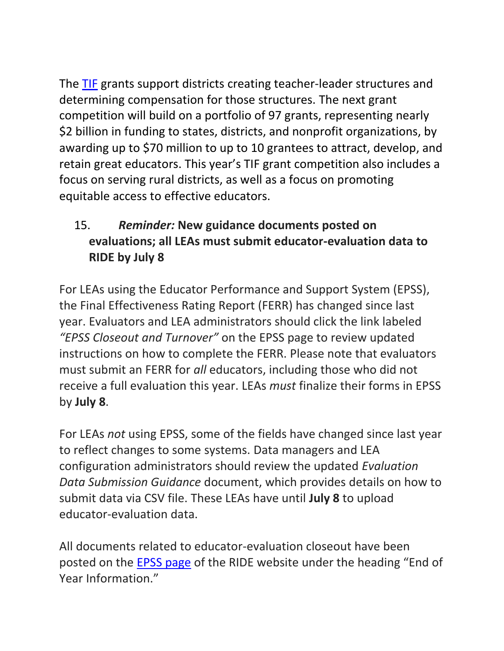The [TIF](http://innovation.ed.gov/what-we-do/teacher-quality/teacher-incentive-fund/) grants support districts creating teacher-leader structures and determining compensation for those structures. The next grant competition will build on a portfolio of 97 grants, representing nearly \$2 billion in funding to states, districts, and nonprofit organizations, by awarding up to \$70 million to up to 10 grantees to attract, develop, and retain great educators. This year's TIF grant competition also includes a focus on serving rural districts, as well as a focus on promoting equitable access to effective educators.

## <span id="page-15-0"></span>15. *Reminder:* **New guidance documents posted on evaluations; all LEAs must submit educator-evaluation data to RIDE by July 8**

For LEAs using the Educator Performance and Support System (EPSS), the Final Effectiveness Rating Report (FERR) has changed since last year. Evaluators and LEA administrators should click the link labeled *"EPSS Closeout and Turnover"* on the EPSS page to review updated instructions on how to complete the FERR. Please note that evaluators must submit an FERR for *all* educators, including those who did not receive a full evaluation this year. LEAs *must* finalize their forms in EPSS by **July 8**.

For LEAs *not* using EPSS, some of the fields have changed since last year to reflect changes to some systems. Data managers and LEA configuration administrators should review the updated *Evaluation Data Submission Guidance* document, which provides details on how to submit data via CSV file. These LEAs have until **July 8** to upload educator-evaluation data.

All documents related to educator-evaluation closeout have been posted on the [EPSS page](http://www.ride.ri.gov/TeachersAdministrators/EducatorEvaluation/EducatorPerformanceandSupportSystem(EPSS).aspx) of the RIDE website under the heading "End of Year Information."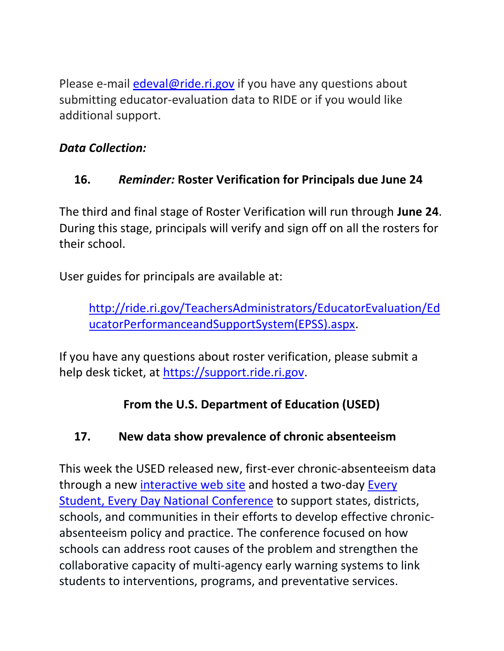Please e-mail [edeval@ride.ri.gov](mailto:edeval@ride.ri.gov) if you have any questions about submitting educator-evaluation data to RIDE or if you would like additional support.

## *Data Collection:*

# **16.** *Reminder:* **Roster Verification for Principals due June 24**

The third and final stage of Roster Verification will run through **June 24**. During this stage, principals will verify and sign off on all the rosters for their school.

User guides for principals are available at:

[http://ride.ri.gov/TeachersAdministrators/EducatorEvaluation/Ed](http://ride.ri.gov/TeachersAdministrators/EducatorEvaluation/EducatorPerformanceandSupportSystem(EPSS).aspx) [ucatorPerformanceandSupportSystem\(EPSS\).aspx.](http://ride.ri.gov/TeachersAdministrators/EducatorEvaluation/EducatorPerformanceandSupportSystem(EPSS).aspx)

If you have any questions about roster verification, please submit a help desk ticket, at [https://support.ride.ri.gov.](https://support.ride.ri.gov/)

# **From the U.S. Department of Education (USED)**

# <span id="page-16-0"></span>**17. New data show prevalence of chronic absenteeism**

This week the USED released new, first-ever chronic-absenteeism data through a new [interactive web site](http://www2.ed.gov/datastory/chronicabsenteeism.html) and hosted a two-day [Every](http://www2.ed.gov/about/inits/ed/chronicabsenteeism/)  [Student, Every Day National Conference](http://www2.ed.gov/about/inits/ed/chronicabsenteeism/) to support states, districts, schools, and communities in their efforts to develop effective chronicabsenteeism policy and practice. The conference focused on how schools can address root causes of the problem and strengthen the collaborative capacity of multi-agency early warning systems to link students to interventions, programs, and preventative services.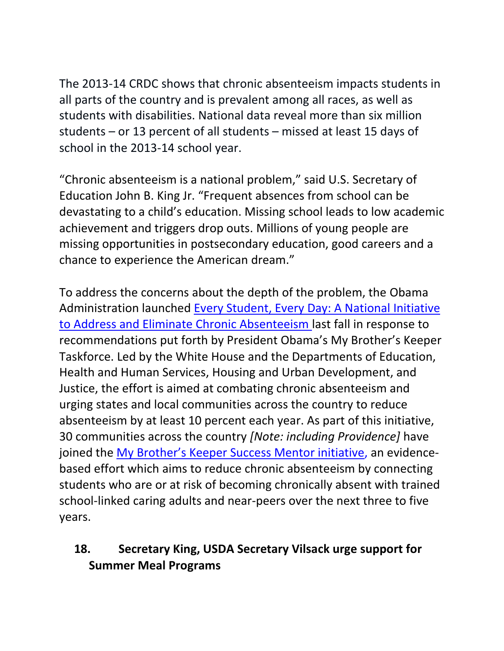The 2013-14 CRDC shows that chronic absenteeism impacts students in all parts of the country and is prevalent among all races, as well as students with disabilities. National data reveal more than six million students – or 13 percent of all students – missed at least 15 days of school in the 2013-14 school year.

"Chronic absenteeism is a national problem," said U.S. Secretary of Education John B. King Jr. "Frequent absences from school can be devastating to a child's education. Missing school leads to low academic achievement and triggers drop outs. Millions of young people are missing opportunities in postsecondary education, good careers and a chance to experience the American dream."

To address the concerns about the depth of the problem, the Obama Administration launched [Every Student, Every Day: A National Initiative](http://www.ed.gov/news/press-releases/every-student-every-day-obama-administration-launches-first-ever-national-cross-sector-initiative-eliminate-chronic-absenteeism-our-nations-schools)  [to Address and Eliminate Chronic Absenteeism](http://www.ed.gov/news/press-releases/every-student-every-day-obama-administration-launches-first-ever-national-cross-sector-initiative-eliminate-chronic-absenteeism-our-nations-schools) last fall in response to recommendations put forth by President Obama's My Brother's Keeper Taskforce. Led by the White House and the Departments of Education, Health and Human Services, Housing and Urban Development, and Justice, the effort is aimed at combating chronic absenteeism and urging states and local communities across the country to reduce absenteeism by at least 10 percent each year. As part of this initiative, 30 communities across the country *[Note: including Providence]* have joined the [My Brother's Keeper Success Mentor initiative](http://www.ed.gov/news/press-releases/fact-sheet-new-cities-join-my-brother%E2%80%99s-keeper-success-mentors-initiative-combat-chronic-student-absences-and-drive-school-and-life-success), an evidencebased effort which aims to reduce chronic absenteeism by connecting students who are or at risk of becoming chronically absent with trained school-linked caring adults and near-peers over the next three to five years.

### <span id="page-17-0"></span>**18. Secretary King, USDA Secretary Vilsack urge support for Summer Meal Programs**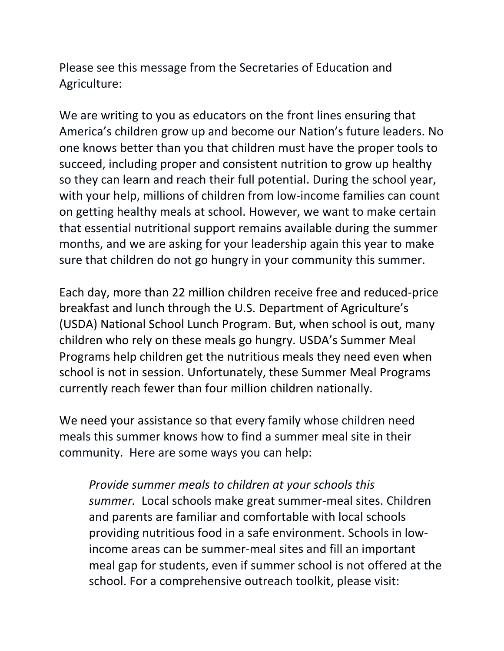Please see this message from the Secretaries of Education and Agriculture:

We are writing to you as educators on the front lines ensuring that America's children grow up and become our Nation's future leaders. No one knows better than you that children must have the proper tools to succeed, including proper and consistent nutrition to grow up healthy so they can learn and reach their full potential. During the school year, with your help, millions of children from low-income families can count on getting healthy meals at school. However, we want to make certain that essential nutritional support remains available during the summer months, and we are asking for your leadership again this year to make sure that children do not go hungry in your community this summer.

Each day, more than 22 million children receive free and reduced-price breakfast and lunch through the U.S. Department of Agriculture's (USDA) National School Lunch Program. But, when school is out, many children who rely on these meals go hungry. USDA's Summer Meal Programs help children get the nutritious meals they need even when school is not in session. Unfortunately, these Summer Meal Programs currently reach fewer than four million children nationally.

We need your assistance so that every family whose children need meals this summer knows how to find a summer meal site in their community. Here are some ways you can help:

*Provide summer meals to children at your schools this summer.* Local schools make great summer-meal sites. Children and parents are familiar and comfortable with local schools providing nutritious food in a safe environment. Schools in lowincome areas can be summer-meal sites and fill an important meal gap for students, even if summer school is not offered at the school. For a comprehensive outreach toolkit, please visit: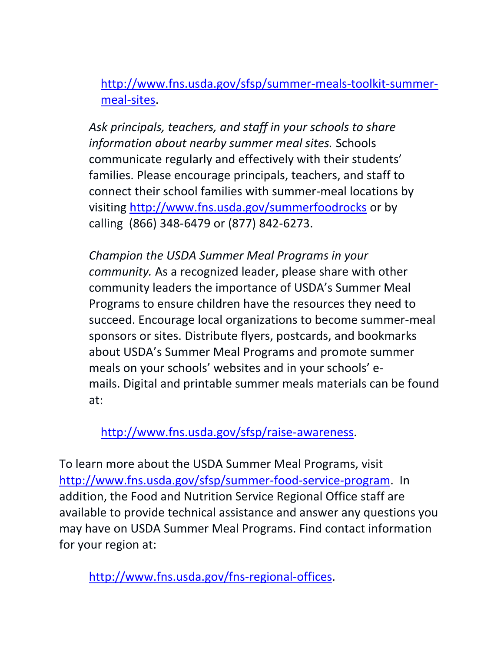[http://www.fns.usda.gov/sfsp/summer-meals-toolkit-summer](http://www.fns.usda.gov/sfsp/summer-meals-toolkit-summer-meal-sites)[meal-sites.](http://www.fns.usda.gov/sfsp/summer-meals-toolkit-summer-meal-sites)

*Ask principals, teachers, and staff in your schools to share information about nearby summer meal sites.* Schools communicate regularly and effectively with their students' families. Please encourage principals, teachers, and staff to connect their school families with summer-meal locations by visiting<http://www.fns.usda.gov/summerfoodrocks> or by calling (866) 348-6479 or (877) 842-6273.

*Champion the USDA Summer Meal Programs in your community.* As a recognized leader, please share with other community leaders the importance of USDA's Summer Meal Programs to ensure children have the resources they need to succeed. Encourage local organizations to become summer-meal sponsors or sites. Distribute flyers, postcards, and bookmarks about USDA's Summer Meal Programs and promote summer meals on your schools' websites and in your schools' emails. Digital and printable summer meals materials can be found at:

[http://www.fns.usda.gov/sfsp/raise-awareness.](http://www.fns.usda.gov/sfsp/raise-awareness)

To learn more about the USDA Summer Meal Programs, visit [http://www.fns.usda.gov/sfsp/summer-food-service-program.](http://www.fns.usda.gov/sfsp/summer-food-service-program) In addition, the Food and Nutrition Service Regional Office staff are available to provide technical assistance and answer any questions you may have on USDA Summer Meal Programs. Find contact information for your region at:

[http://www.fns.usda.gov/fns-regional-offices.](http://www.fns.usda.gov/fns-regional-offices)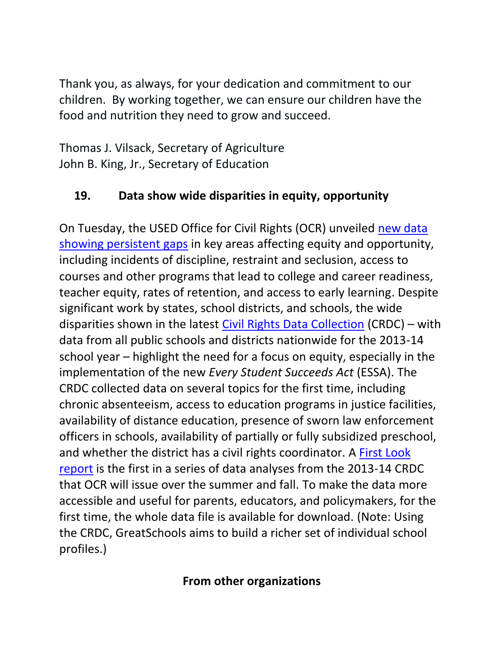Thank you, as always, for your dedication and commitment to our children. By working together, we can ensure our children have the food and nutrition they need to grow and succeed.

Thomas J. Vilsack, Secretary of Agriculture John B. King, Jr., Secretary of Education

## <span id="page-20-0"></span>**19. Data show wide disparities in equity, opportunity**

On Tuesday, the USED Office for Civil Rights (OCR) unveiled [new data](http://www.ed.gov/news/press-releases/persistent-disparities-found-through-comprehensive-civil-rights-survey-underscore-need-continued-focus-equity-king-says)  [showing persistent gaps](http://www.ed.gov/news/press-releases/persistent-disparities-found-through-comprehensive-civil-rights-survey-underscore-need-continued-focus-equity-king-says) in key areas affecting equity and opportunity, including incidents of discipline, restraint and seclusion, access to courses and other programs that lead to college and career readiness, teacher equity, rates of retention, and access to early learning. Despite significant work by states, school districts, and schools, the wide disparities shown in the latest [Civil Rights Data Collection](http://www2.ed.gov/about/offices/list/ocr/docs/crdc-2013-14.html) (CRDC) – with data from all public schools and districts nationwide for the 2013-14 school year – highlight the need for a focus on equity, especially in the implementation of the new *Every Student Succeeds Act* (ESSA). The CRDC collected data on several topics for the first time, including chronic absenteeism, access to education programs in justice facilities, availability of distance education, presence of sworn law enforcement officers in schools, availability of partially or fully subsidized preschool, and whether the district has a civil rights coordinator. A [First Look](http://www2.ed.gov/about/offices/list/ocr/docs/2013-14-first-look.pdf)  [report](http://www2.ed.gov/about/offices/list/ocr/docs/2013-14-first-look.pdf) is the first in a series of data analyses from the 2013-14 CRDC that OCR will issue over the summer and fall. To make the data more accessible and useful for parents, educators, and policymakers, for the first time, the whole data file is available for download. (Note: Using the CRDC, GreatSchools aims to build a richer set of individual school profiles.)

### **From other organizations**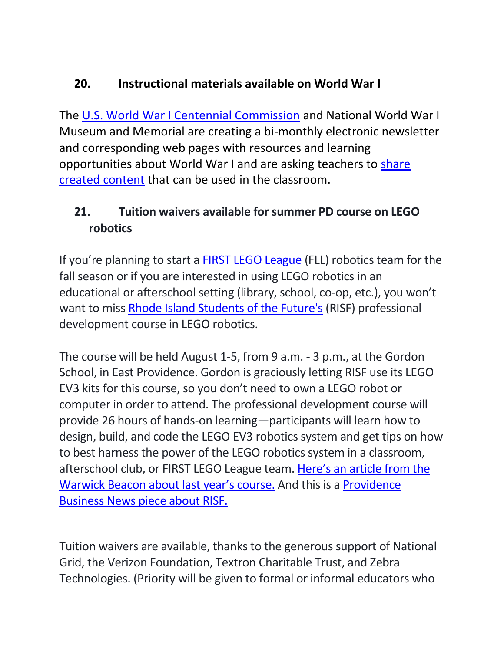## <span id="page-21-0"></span>**20. Instructional materials available on World War I**

The [U.S. World War I Centennial Commission](http://www.worldwar1centennial.org/) and National World War I Museum and Memorial are creating a bi-monthly electronic newsletter and corresponding web pages with resources and learning opportunities about World War I and are asking teachers to [share](https://form.jotform.com/61013977364963)  [created content](https://form.jotform.com/61013977364963) that can be used in the classroom.

## **21. Tuition waivers available for summer PD course on LEGO robotics**

If you're planning to start a [FIRST LEGO League](http://www.firstinspires.org/robotics/fll) (FLL) robotics team for the fall season or if you are interested in using LEGO robotics in an educational or afterschool setting (library, school, co-op, etc.), you won't want to miss [Rhode Island Students of the Future's](http://risf.net/) (RISF) professional development course in LEGO robotics.

The course will be held August 1-5, from 9 a.m. - 3 p.m., at the Gordon School, in East Providence. Gordon is graciously letting RISF use its LEGO EV3 kits for this course, so you don't need to own a LEGO robot or computer in order to attend. The professional development course will provide 26 hours of hands-on learning—participants will learn how to design, build, and code the LEGO EV3 robotics system and get tips on how to best harness the power of the LEGO robotics system in a classroom, afterschool club, or FIRST LEGO League team. [Here's an article from the](http://warwickonline.com/stories/teachers-parents-to-get-training-in-robots-to-meet-surge-in-student-interest,104586)  [Warwick Beacon about last year's course.](http://warwickonline.com/stories/teachers-parents-to-get-training-in-robots-to-meet-surge-in-student-interest,104586) And this is a [Providence](http://pbn.com/Five-Questions-With-Rebekah-Gendron,108388)  [Business News piece about RISF.](http://pbn.com/Five-Questions-With-Rebekah-Gendron,108388) 

Tuition waivers are available, thanks to the generous support of National Grid, the Verizon Foundation, Textron Charitable Trust, and Zebra Technologies. (Priority will be given to formal or informal educators who